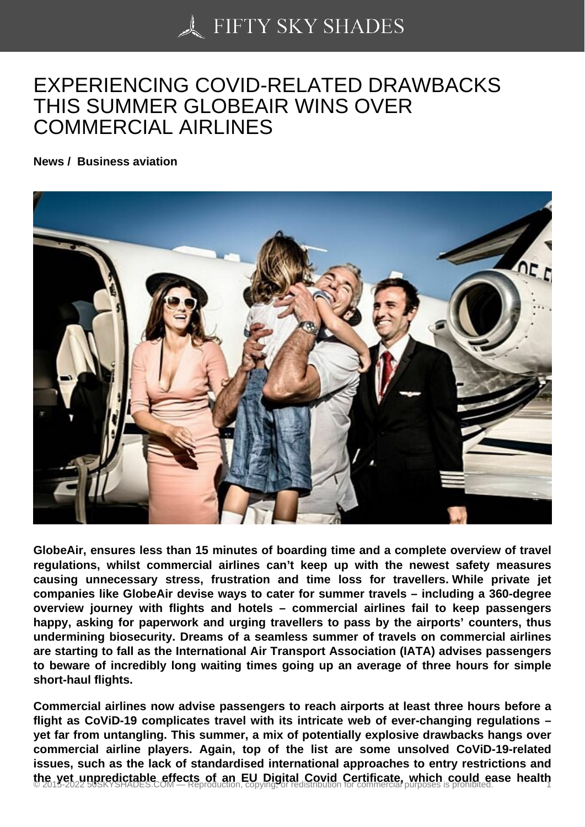## [EXPERIENCING COV](https://50skyshades.com)ID-RELATED DRAWBACKS THIS SUMMER GLOBEAIR WINS OVER COMMERCIAL AIRLINES

News / Business aviation

GlobeAir, ensures less than 15 minutes of boarding time and a complete overview of travel regulations, whilst commercial airlines can't keep up with the newest safety measures causing unnecessary stress, frustration and time loss for travellers. While private jet companies like GlobeAir devise ways to cater for summer travels – including a 360-degree overview journey with flights and hotels – commercial airlines fail to keep passengers happy, asking for paperwork and urging travellers to pass by the airports' counters, thus undermining biosecurity. Dreams of a seamless summer of travels on commercial airlines are starting to fall as the International Air Transport Association (IATA) advises passengers to beware of incredibly long waiting times going up an average of three hours for simple short-haul flights.

Commercial airlines now advise passengers to reach airports at least three hours before a flight as CoViD-19 complicates travel with its intricate web of ever-changing regulations – yet far from untangling. This summer, a mix of potentially explosive drawbacks hangs over commercial airline players. Again, top of the list are some unsolved CoViD-19-related issues, such as the lack of standardised international approaches to entry restrictions and the yet unpredictable effects of an EU Digital Covid Certificate, which could ease health  $\frac{1}{20}$